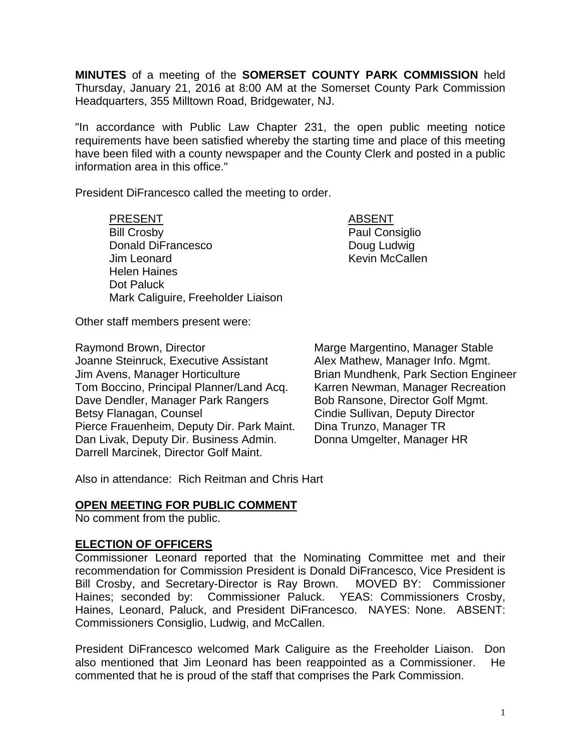**MINUTES** of a meeting of the **SOMERSET COUNTY PARK COMMISSION** held Thursday, January 21, 2016 at 8:00 AM at the Somerset County Park Commission Headquarters, 355 Milltown Road, Bridgewater, NJ.

"In accordance with Public Law Chapter 231, the open public meeting notice requirements have been satisfied whereby the starting time and place of this meeting have been filed with a county newspaper and the County Clerk and posted in a public information area in this office."

President DiFrancesco called the meeting to order.

PRESENT ABSENT Bill Crosby **Paul Consiglio** Donald DiFrancesco Doug Ludwig Jim Leonard Kevin McCallen Helen Haines Dot Paluck Mark Caliguire, Freeholder Liaison

Other staff members present were:

Raymond Brown, Director **Marge Margentino, Manager Stable**<br>Joanne Steinruck. Executive Assistant Alex Mathew. Manager Info. Mamt. Jim Avens, Manager Horticulture Brian Mundhenk, Park Section Engineer Tom Boccino, Principal Planner/Land Acq. Karren Newman, Manager Recreation<br>Dave Dendler, Manager Park Rangers Bob Ransone, Director Golf Mgmt. Dave Dendler, Manager Park Rangers Betsy Flanagan, Counsel **Counsel Cindie Sullivan, Deputy Director** Pierce Frauenheim, Deputy Dir. Park Maint. Dina Trunzo, Manager TR Dan Livak, Deputy Dir. Business Admin. Donna Umgelter, Manager HR Darrell Marcinek, Director Golf Maint.

Alex Mathew, Manager Info. Mgmt.

Also in attendance: Rich Reitman and Chris Hart

### **OPEN MEETING FOR PUBLIC COMMENT**

No comment from the public.

### **ELECTION OF OFFICERS**

Commissioner Leonard reported that the Nominating Committee met and their recommendation for Commission President is Donald DiFrancesco, Vice President is Bill Crosby, and Secretary-Director is Ray Brown. MOVED BY: Commissioner Haines; seconded by: Commissioner Paluck. YEAS: Commissioners Crosby, Haines, Leonard, Paluck, and President DiFrancesco. NAYES: None. ABSENT: Commissioners Consiglio, Ludwig, and McCallen.

President DiFrancesco welcomed Mark Caliguire as the Freeholder Liaison. Don also mentioned that Jim Leonard has been reappointed as a Commissioner. He commented that he is proud of the staff that comprises the Park Commission.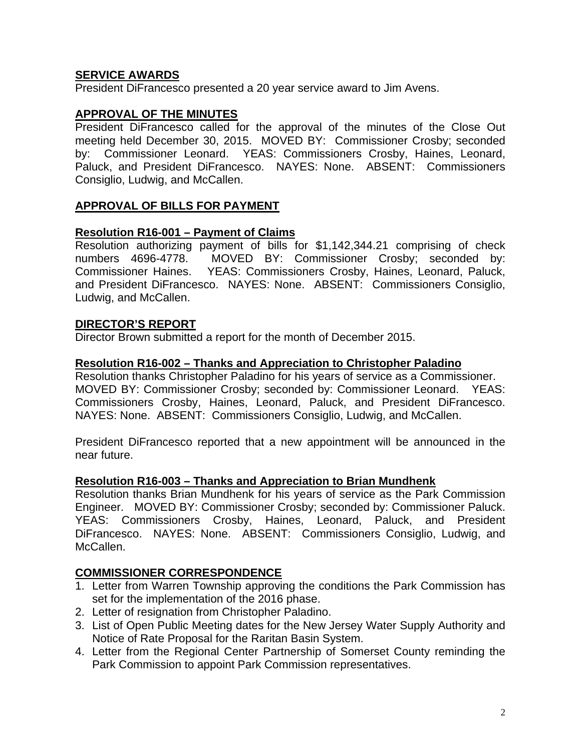# **SERVICE AWARDS**

President DiFrancesco presented a 20 year service award to Jim Avens.

# **APPROVAL OF THE MINUTES**

President DiFrancesco called for the approval of the minutes of the Close Out meeting held December 30, 2015. MOVED BY: Commissioner Crosby; seconded by: Commissioner Leonard. YEAS: Commissioners Crosby, Haines, Leonard, Paluck, and President DiFrancesco. NAYES: None. ABSENT: Commissioners Consiglio, Ludwig, and McCallen.

# **APPROVAL OF BILLS FOR PAYMENT**

## **Resolution R16-001 – Payment of Claims**

Resolution authorizing payment of bills for \$1,142,344.21 comprising of check numbers 4696-4778. MOVED BY: Commissioner Crosby; seconded by: Commissioner Haines. YEAS: Commissioners Crosby, Haines, Leonard, Paluck, and President DiFrancesco. NAYES: None. ABSENT: Commissioners Consiglio, Ludwig, and McCallen.

# **DIRECTOR'S REPORT**

Director Brown submitted a report for the month of December 2015.

### **Resolution R16-002 – Thanks and Appreciation to Christopher Paladino**

Resolution thanks Christopher Paladino for his years of service as a Commissioner. MOVED BY: Commissioner Crosby; seconded by: Commissioner Leonard. YEAS: Commissioners Crosby, Haines, Leonard, Paluck, and President DiFrancesco. NAYES: None. ABSENT: Commissioners Consiglio, Ludwig, and McCallen.

President DiFrancesco reported that a new appointment will be announced in the near future.

### **Resolution R16-003 – Thanks and Appreciation to Brian Mundhenk**

Resolution thanks Brian Mundhenk for his years of service as the Park Commission Engineer. MOVED BY: Commissioner Crosby; seconded by: Commissioner Paluck. YEAS: Commissioners Crosby, Haines, Leonard, Paluck, and President DiFrancesco. NAYES: None. ABSENT: Commissioners Consiglio, Ludwig, and McCallen.

## **COMMISSIONER CORRESPONDENCE**

- 1. Letter from Warren Township approving the conditions the Park Commission has set for the implementation of the 2016 phase.
- 2. Letter of resignation from Christopher Paladino.
- 3. List of Open Public Meeting dates for the New Jersey Water Supply Authority and Notice of Rate Proposal for the Raritan Basin System.
- 4. Letter from the Regional Center Partnership of Somerset County reminding the Park Commission to appoint Park Commission representatives.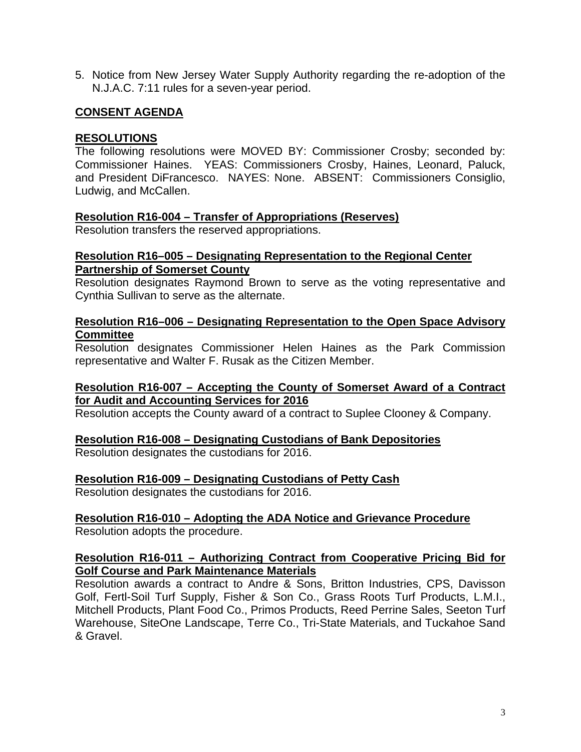5. Notice from New Jersey Water Supply Authority regarding the re-adoption of the N.J.A.C. 7:11 rules for a seven-year period.

# **CONSENT AGENDA**

# **RESOLUTIONS**

The following resolutions were MOVED BY: Commissioner Crosby; seconded by: Commissioner Haines. YEAS: Commissioners Crosby, Haines, Leonard, Paluck, and President DiFrancesco. NAYES: None. ABSENT: Commissioners Consiglio, Ludwig, and McCallen.

## **Resolution R16-004 – Transfer of Appropriations (Reserves)**

Resolution transfers the reserved appropriations.

## **Resolution R16–005 – Designating Representation to the Regional Center Partnership of Somerset County**

Resolution designates Raymond Brown to serve as the voting representative and Cynthia Sullivan to serve as the alternate.

## **Resolution R16–006 – Designating Representation to the Open Space Advisory Committee**

Resolution designates Commissioner Helen Haines as the Park Commission representative and Walter F. Rusak as the Citizen Member.

# **Resolution R16-007 – Accepting the County of Somerset Award of a Contract for Audit and Accounting Services for 2016**

Resolution accepts the County award of a contract to Suplee Clooney & Company.

## **Resolution R16-008 – Designating Custodians of Bank Depositories**

Resolution designates the custodians for 2016.

## **Resolution R16-009 – Designating Custodians of Petty Cash**

Resolution designates the custodians for 2016.

# **Resolution R16-010 – Adopting the ADA Notice and Grievance Procedure**

Resolution adopts the procedure.

## **Resolution R16-011 – Authorizing Contract from Cooperative Pricing Bid for Golf Course and Park Maintenance Materials**

Resolution awards a contract to Andre & Sons, Britton Industries, CPS, Davisson Golf, Fertl-Soil Turf Supply, Fisher & Son Co., Grass Roots Turf Products, L.M.I., Mitchell Products, Plant Food Co., Primos Products, Reed Perrine Sales, Seeton Turf Warehouse, SiteOne Landscape, Terre Co., Tri-State Materials, and Tuckahoe Sand & Gravel.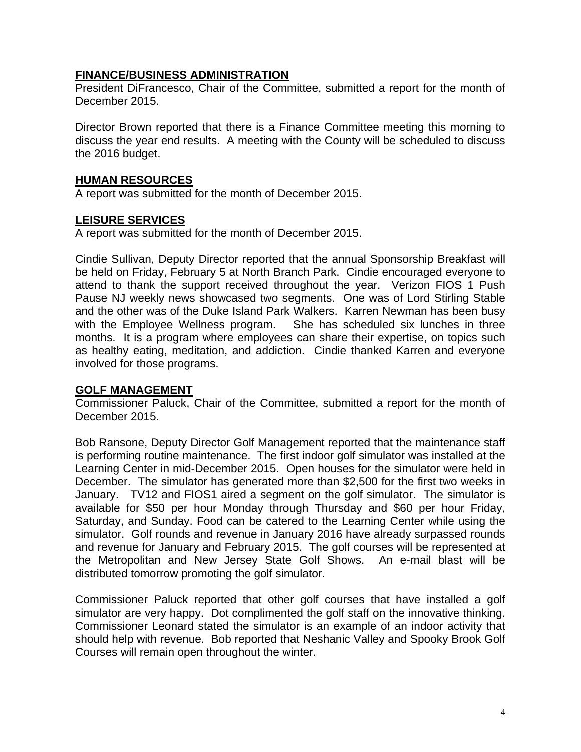# **FINANCE/BUSINESS ADMINISTRATION**

President DiFrancesco, Chair of the Committee, submitted a report for the month of December 2015.

Director Brown reported that there is a Finance Committee meeting this morning to discuss the year end results. A meeting with the County will be scheduled to discuss the 2016 budget.

## **HUMAN RESOURCES**

A report was submitted for the month of December 2015.

# **LEISURE SERVICES**

A report was submitted for the month of December 2015.

Cindie Sullivan, Deputy Director reported that the annual Sponsorship Breakfast will be held on Friday, February 5 at North Branch Park. Cindie encouraged everyone to attend to thank the support received throughout the year. Verizon FIOS 1 Push Pause NJ weekly news showcased two segments. One was of Lord Stirling Stable and the other was of the Duke Island Park Walkers. Karren Newman has been busy with the Employee Wellness program. She has scheduled six lunches in three months. It is a program where employees can share their expertise, on topics such as healthy eating, meditation, and addiction. Cindie thanked Karren and everyone involved for those programs.

## **GOLF MANAGEMENT**

Commissioner Paluck, Chair of the Committee, submitted a report for the month of December 2015.

Bob Ransone, Deputy Director Golf Management reported that the maintenance staff is performing routine maintenance. The first indoor golf simulator was installed at the Learning Center in mid-December 2015. Open houses for the simulator were held in December. The simulator has generated more than \$2,500 for the first two weeks in January. TV12 and FIOS1 aired a segment on the golf simulator. The simulator is available for \$50 per hour Monday through Thursday and \$60 per hour Friday, Saturday, and Sunday. Food can be catered to the Learning Center while using the simulator. Golf rounds and revenue in January 2016 have already surpassed rounds and revenue for January and February 2015. The golf courses will be represented at the Metropolitan and New Jersey State Golf Shows. An e-mail blast will be distributed tomorrow promoting the golf simulator.

Commissioner Paluck reported that other golf courses that have installed a golf simulator are very happy. Dot complimented the golf staff on the innovative thinking. Commissioner Leonard stated the simulator is an example of an indoor activity that should help with revenue. Bob reported that Neshanic Valley and Spooky Brook Golf Courses will remain open throughout the winter.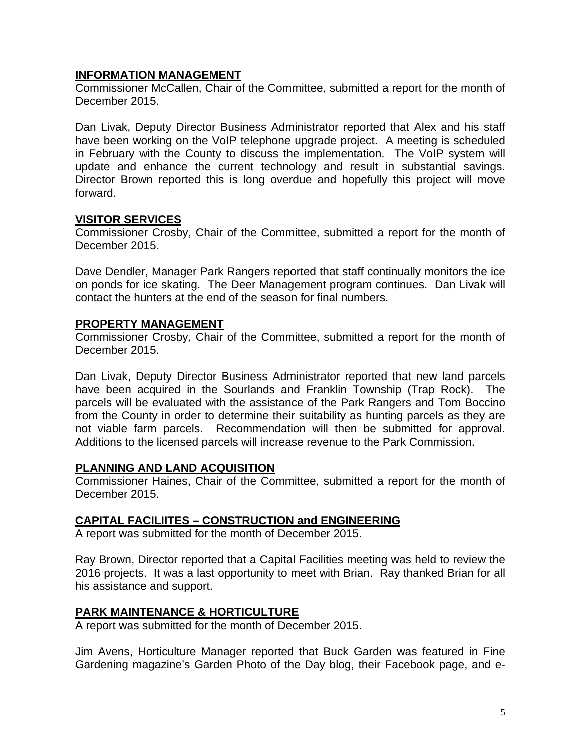# **INFORMATION MANAGEMENT**

Commissioner McCallen, Chair of the Committee, submitted a report for the month of December 2015.

Dan Livak, Deputy Director Business Administrator reported that Alex and his staff have been working on the VoIP telephone upgrade project. A meeting is scheduled in February with the County to discuss the implementation. The VoIP system will update and enhance the current technology and result in substantial savings. Director Brown reported this is long overdue and hopefully this project will move forward.

## **VISITOR SERVICES**

Commissioner Crosby, Chair of the Committee, submitted a report for the month of December 2015.

Dave Dendler, Manager Park Rangers reported that staff continually monitors the ice on ponds for ice skating. The Deer Management program continues. Dan Livak will contact the hunters at the end of the season for final numbers.

# **PROPERTY MANAGEMENT**

Commissioner Crosby, Chair of the Committee, submitted a report for the month of December 2015.

Dan Livak, Deputy Director Business Administrator reported that new land parcels have been acquired in the Sourlands and Franklin Township (Trap Rock). The parcels will be evaluated with the assistance of the Park Rangers and Tom Boccino from the County in order to determine their suitability as hunting parcels as they are not viable farm parcels. Recommendation will then be submitted for approval. Additions to the licensed parcels will increase revenue to the Park Commission.

## **PLANNING AND LAND ACQUISITION**

Commissioner Haines, Chair of the Committee, submitted a report for the month of December 2015.

# **CAPITAL FACILIITES – CONSTRUCTION and ENGINEERING**

A report was submitted for the month of December 2015.

Ray Brown, Director reported that a Capital Facilities meeting was held to review the 2016 projects. It was a last opportunity to meet with Brian. Ray thanked Brian for all his assistance and support.

## **PARK MAINTENANCE & HORTICULTURE**

A report was submitted for the month of December 2015.

Jim Avens, Horticulture Manager reported that Buck Garden was featured in Fine Gardening magazine's Garden Photo of the Day blog, their Facebook page, and e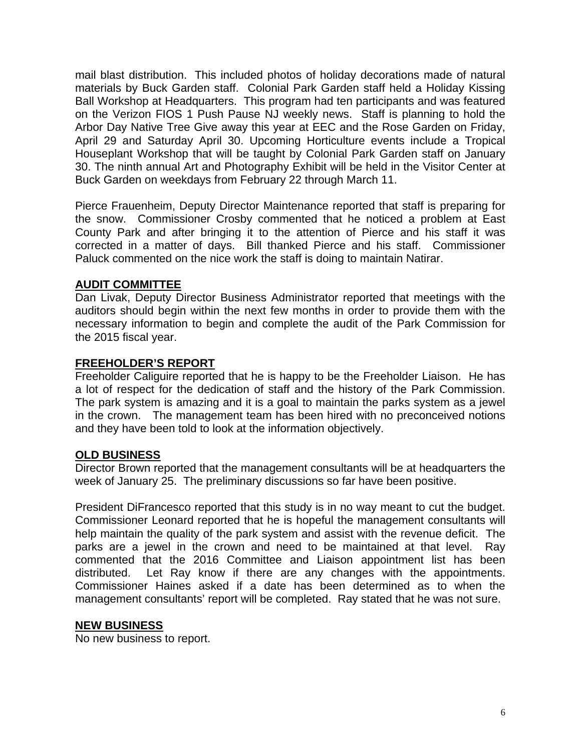mail blast distribution. This included photos of holiday decorations made of natural materials by Buck Garden staff. Colonial Park Garden staff held a Holiday Kissing Ball Workshop at Headquarters. This program had ten participants and was featured on the Verizon FIOS 1 Push Pause NJ weekly news. Staff is planning to hold the Arbor Day Native Tree Give away this year at EEC and the Rose Garden on Friday, April 29 and Saturday April 30. Upcoming Horticulture events include a Tropical Houseplant Workshop that will be taught by Colonial Park Garden staff on January 30. The ninth annual Art and Photography Exhibit will be held in the Visitor Center at Buck Garden on weekdays from February 22 through March 11.

Pierce Frauenheim, Deputy Director Maintenance reported that staff is preparing for the snow. Commissioner Crosby commented that he noticed a problem at East County Park and after bringing it to the attention of Pierce and his staff it was corrected in a matter of days. Bill thanked Pierce and his staff. Commissioner Paluck commented on the nice work the staff is doing to maintain Natirar.

## **AUDIT COMMITTEE**

Dan Livak, Deputy Director Business Administrator reported that meetings with the auditors should begin within the next few months in order to provide them with the necessary information to begin and complete the audit of the Park Commission for the 2015 fiscal year.

## **FREEHOLDER'S REPORT**

Freeholder Caliguire reported that he is happy to be the Freeholder Liaison. He has a lot of respect for the dedication of staff and the history of the Park Commission. The park system is amazing and it is a goal to maintain the parks system as a jewel in the crown. The management team has been hired with no preconceived notions and they have been told to look at the information objectively.

## **OLD BUSINESS**

Director Brown reported that the management consultants will be at headquarters the week of January 25. The preliminary discussions so far have been positive.

President DiFrancesco reported that this study is in no way meant to cut the budget. Commissioner Leonard reported that he is hopeful the management consultants will help maintain the quality of the park system and assist with the revenue deficit. The parks are a jewel in the crown and need to be maintained at that level. Ray commented that the 2016 Committee and Liaison appointment list has been distributed. Let Ray know if there are any changes with the appointments. Commissioner Haines asked if a date has been determined as to when the management consultants' report will be completed. Ray stated that he was not sure.

## **NEW BUSINESS**

No new business to report.